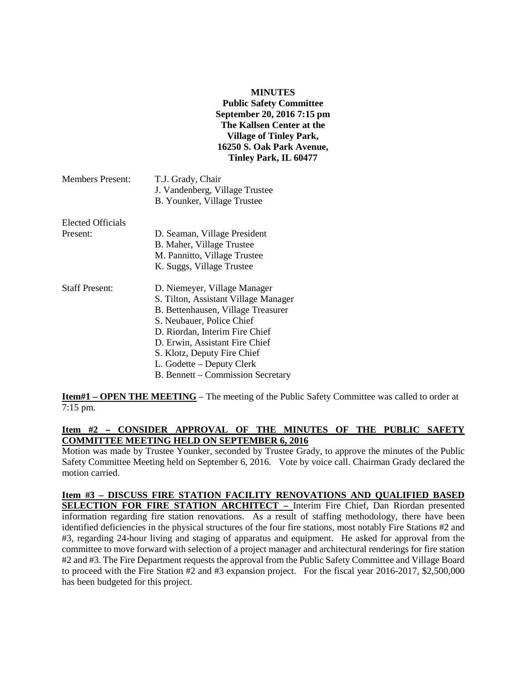#### **MINUTES**

**Public Safety Committee September 20, 2016 7:15 pm The Kallsen Center at the Village of Tinley Park, 16250 S. Oak Park Avenue, Tinley Park, IL 60477**

| Members Present: | T.J. Grady, Chair              |
|------------------|--------------------------------|
|                  | J. Vandenberg, Village Trustee |
|                  | B. Younker, Village Trustee    |

| Elected Officials |                              |
|-------------------|------------------------------|
| Present:          | D. Seaman, Village President |
|                   | B. Maher, Village Trustee    |
|                   | M. Pannitto, Village Trustee |
|                   | K. Suggs, Village Trustee    |

| <b>Staff Present:</b> | D. Niemeyer, Village Manager         |
|-----------------------|--------------------------------------|
|                       | S. Tilton, Assistant Village Manager |
|                       | B. Bettenhausen, Village Treasurer   |
|                       | S. Neubauer, Police Chief            |
|                       | D. Riordan, Interim Fire Chief       |
|                       | D. Erwin, Assistant Fire Chief       |
|                       | S. Klotz, Deputy Fire Chief          |
|                       | L. Godette – Deputy Clerk            |
|                       | B. Bennett – Commission Secretary    |

**Item#1 – OPEN THE MEETING** – The meeting of the Public Safety Committee was called to order at 7:15 pm.

## Item #2 - CONSIDER APPROVAL OF THE MINUTES OF THE PUBLIC SAFETY **COMMITTEE MEETING HELD ON SEPTEMBER 6, 2016**

Motion was made by Trustee Younker, seconded by Trustee Grady, to approve the minutes of the Public Safety Committee Meeting held on September 6, 2016. Vote by voice call. Chairman Grady declared the motion carried.

**Item #3 – DISCUSS FIRE STATION FACILITY RENOVATIONS AND QUALIFIED BASED SELECTION FOR FIRE STATION ARCHITECT –** Interim Fire Chief, Dan Riordan presented information regarding fire station renovations. As a result of staffing methodology, there have been identified deficiencies in the physical structures of the four fire stations, most notably Fire Stations #2 and #3, regarding 24-hour living and staging of apparatus and equipment. He asked for approval from the committee to move forward with selection of a project manager and architectural renderings for fire station #2 and #3. The Fire Department requests the approval from the Public Safety Committee and Village Board to proceed with the Fire Station #2 and #3 expansion project. For the fiscal year 2016-2017, \$2,500,000 has been budgeted for this project.